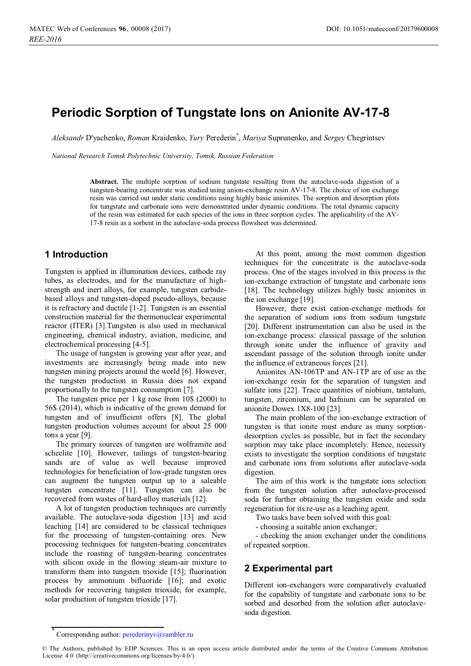# **Periodic Sorption of Tungstate Ions on Anionite AV-17-8**

*Aleksandr* Dꞌyachenko, *Roman* Kraidenko, *Yury* Perederin\* , *Mariya* Suprunenko, and *Sergey* Chegrintsev

*National Research Tomsk Polytechnic University, Tomsk, Russian Federation*

**Abstract.** The multiple sorption of sodium tungstate resulting from the autoclave-soda digestion of a tungsten-bearing concentrate was studied using anion-exchange resin AV-17-8. The choice of ion exchange resin was carried out under static conditions using highly basic anionites. The sorption and desorption plots for tungstate and carbonate ions were demonstrated under dynamic conditions. The total dynamic capacity of the resin was estimated for each species of the ions in three sorption cycles. The applicability of the AV-17-8 resin as a sorbent in the autoclave-soda process flowsheet was determined.

#### **1 Introduction**

Tungsten is applied in illumination devices, cathode ray tubes, as electrodes, and for the manufacture of highstrength and inert alloys, for example, tungsten carbidebased alloys and tungsten-doped pseudo-alloys, because it is refractory and ductile [1-2]. Tungsten is an essential construction material for the thermonuclear experimental reactor (ITER) [3].Tungsten is also used in mechanical engineering, chemical industry, aviation, medicine, and electrochemical processing [4-5].

The usage of tungsten is growing year after year, and investments are increasingly being made into new tungsten mining projects around the world [6]. However, the tungsten production in Russia does not expand proportionally to the tungsten consumption [7].

The tungsten price per 1 kg rose from 10\$ (2000) to 56\$ (2014), which is indicative of the grown demand for tungsten and of insufficient offers [8]. The global tungsten production volumes account for about 25 000 tons a year [9].

The primary sources of tungsten are wolframite and scheelite [10]. However, tailings of tungsten-bearing sands are of value as well because improved technologies for beneficiation of low-grade tungsten ores can augment the tungsten output up to a saleable tungsten concentrate [11]. Tungsten can also be recovered from wastes of hard-alloy materials [12].

A lot of tungsten production techniques are currently available. The autoclave-soda digestion [13] and acid leaching [14] are considered to be classical techniques for the processing of tungsten-containing ores. New processing techniques for tungsten-bearing concentrates include the roasting of tungsten-bearing concentrates with silicon oxide in the flowing steam-air mixture to transform them into tungsten trioxide [15]; fluorination process by ammonium bifluoride [16]; and exotic methods for recovering tungsten trioxide, for example, solar production of tungsten trioxide [17].

At this point, among the most common digestion techniques for the concentrate is the autoclave-soda process. One of the stages involved in this process is the ion-exchange extraction of tungstate and carbonate ions [18]. The technology utilizes highly basic anionites in the ion exchange [19].

However, there exist cation-exchange methods for the separation of sodium ions from sodium tungstate [20]. Different instrumentation can also be used in the ion-exchange process: classical passage of the solution through ionite under the influence of gravity and ascendant passage of the solution through ionite under the influence of extraneous forces [21].

Anionites AN-106TP and AN-1TP are of use as the ion-exchange resin for the separation of tungsten and sulfate ions [22]. Trace quantities of niobium, tantalum, tungsten, zirconium, and hafnium can be separated on anionite Dowex 1X8-100 [23].

The main problem of the ion-exchange extraction of tungsten is that ionite must endure as many sorptiondesorption cycles as possible, but in fact the secondary sorption may take place incompletely. Hence, necessity exists to investigate the sorption conditions of tungstate and carbonate ions from solutions after autoclave-soda digestion.

The aim of this work is the tungstate ions selection from the tungsten solution after autoclave-processed soda for further obtaining the tungsten oxide and soda regeneration for its re-use as a leaching agent.

Two tasks have been solved with this goal:

- choosing a suitable anion exchanger;

- checking the anion exchanger under the conditions of repeated sorption.

## **2 Experimental part**

Different ion-exchangers were comparatively evaluated for the capability of tungstate and carbonate ions to be sorbed and desorbed from the solution after autoclavesoda digestion.

<sup>\*</sup> Corresponding author: perederinyv@rambler.ru

<sup>©</sup> The Authors, published by EDP Sciences. This is an open access article distributed under the terms of the Creative Commons Attribution License 4.0 (http://creativecommons.org/licenses/by/4.0/).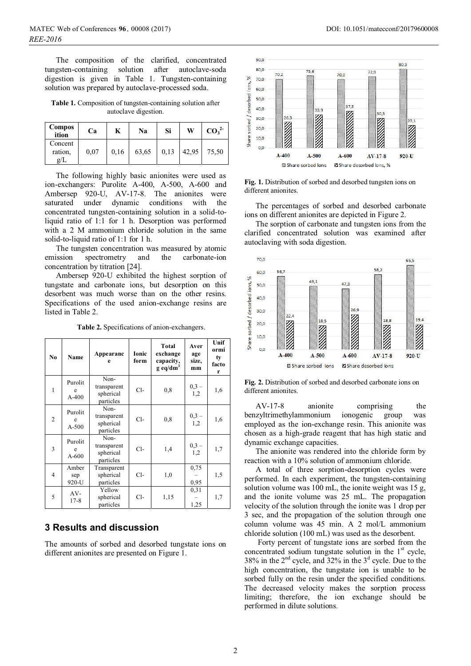The composition of the clarified, concentrated<br>tungsten-containing solution after autoclave-soda solution after autoclave-soda digestion is given in Table 1. Tungsten-containing solution was prepared by autoclave-processed soda.

**Table 1.** Composition of tungsten-containing solution after autoclave digestion.

| <b>Compos</b><br>ition           | Ca   | K    | Na    | Si   | W     | CO <sub>3</sub> <sup>2</sup> |
|----------------------------------|------|------|-------|------|-------|------------------------------|
| Concent<br>ration.<br>$\alpha/L$ | 0.07 | 0,16 | 63,65 | 0,13 | 42,95 | 75,50                        |

The following highly basic anionites were used as ion-exchangers: Purolite A-400, A-500, A-600 and Ambersep 920-U, AV-17-8. The anionites were saturated under dynamic conditions with the concentrated tungsten-containing solution in a solid-toliquid ratio of 1:1 for 1 h. Desorption was performed with a 2 M ammonium chloride solution in the same solid-to-liquid ratio of 1:1 for 1 h.

The tungsten concentration was measured by atomic emission spectrometry and the carbonate-ion concentration by titration [24].

Ambersep 920-U exhibited the highest sorption of tungstate and carbonate ions, but desorption on this desorbent was much worse than on the other resins. Specifications of the used anion-exchange resins are listed in Table 2.

**Table 2.** Specifications of anion-exchangers.

| No             | Name                    | Appearanc<br>e                                | Ionic<br>form | Total<br>exchange<br>capacity,<br>$g \text{ eq/dm}^3$ | Aver<br>age<br>size,<br>mm | Unif<br>ormi<br>ty<br>facto<br>r |
|----------------|-------------------------|-----------------------------------------------|---------------|-------------------------------------------------------|----------------------------|----------------------------------|
| 1              | Purolit<br>e<br>$A-400$ | Non-<br>transparent<br>spherical<br>particles | $Cl-$         | 0, 8                                                  | $0,3 -$<br>1,2             | 1,6                              |
| 2              | Purolit<br>e<br>$A-500$ | Non-<br>transparent<br>spherical<br>particles | $Cl-$         | 0, 8                                                  | $0,3 -$<br>1,2             | 1,6                              |
| 3              | Purolit<br>e<br>$A-600$ | Non-<br>transparent<br>spherical<br>particles | Cl-           | 1,4                                                   | $0,3 -$<br>1,2             | 1,7                              |
| $\overline{4}$ | Amber<br>sep<br>920-U   | Transparent<br>spherical<br>particles         | $Cl-$         | 1,0                                                   | 0,75<br>0,95               | 1,5                              |
| 5              | AV-<br>$17 - 8$         | Yellow<br>spherical<br>particles              | $Cl-$         | 1,15                                                  | 0,31<br>1,25               | 1,7                              |

# **3 Results and discussion**

The amounts of sorbed and desorbed tungstate ions on different anionites are presented on Figure 1.



**Fig. 1.** Distribution of sorbed and desorbed tungsten ions on different anionites.

The percentages of sorbed and desorbed carbonate ions on different anionites are depicted in Figure 2.

The sorption of carbonate and tungsten ions from the clarified concentrated solution was examined after autoclaving with soda digestion.



**Fig. 2.** Distribution of sorbed and desorbed carbonate ions on different anionites.

AV-17-8 anionite comprising the benzyltrimethylammonium ionogenic group was employed as the ion-exchange resin. This anionite was chosen as a high-grade reagent that has high static and dynamic exchange capacities.

The anionite was rendered into the chloride form by reaction with a 10% solution of ammonium chloride.

A total of three sorption-desorption cycles were performed. In each experiment, the tungsten-containing solution volume was 100 mL, the ionite weight was 15 g, and the ionite volume was 25 mL. The propagation velocity of the solution through the ionite was 1 drop per 3 sec, and the propagation of the solution through one column volume was 45 min. A 2 mol/L ammonium chloride solution (100 mL) was used as the desorbent.

 Forty percent of tungstate ions are sorbed from the concentrated sodium tungstate solution in the  $1<sup>st</sup>$  cycle, 38% in the  $2<sup>nd</sup>$  cycle, and 32% in the  $3<sup>d</sup>$  cycle. Due to the high concentration, the tungstate ion is unable to be sorbed fully on the resin under the specified conditions. The decreased velocity makes the sorption process limiting; therefore, the ion exchange should be performed in dilute solutions.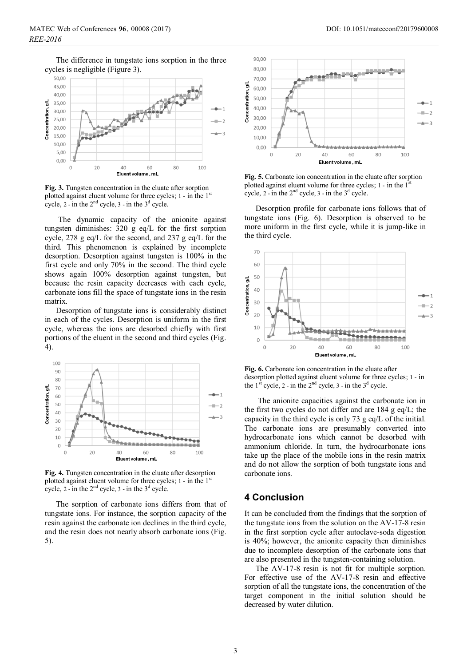The difference in tungstate ions sorption in the three cycles is negligible (Figure 3).



**Fig. 3.** Tungsten concentration in the eluate after sorption plotted against eluent volume for three cycles;  $1 - \text{in the } 1^{\text{st}}$ cycle, 2 - in the  $2<sup>nd</sup>$  cycle, 3 - in the  $3<sup>d</sup>$  cycle.

 The dynamic capacity of the anionite against tungsten diminishes: 320 g eq/L for the first sorption cycle, 278 g eq/L for the second, and 237 g eq/L for the third. This phenomenon is explained by incomplete desorption. Desorption against tungsten is 100% in the first cycle and only 70% in the second. The third cycle shows again 100% desorption against tungsten, but because the resin capacity decreases with each cycle, carbonate ions fill the space of tungstate ions in the resin matrix.

Desorption of tungstate ions is considerably distinct in each of the cycles. Desorption is uniform in the first cycle, whereas the ions are desorbed chiefly with first portions of the eluent in the second and third cycles (Fig. 4).



**Fig. 4.** Tungsten concentration in the eluate after desorption plotted against eluent volume for three cycles;  $1$  - in the  $1<sup>st</sup>$ cycle,  $2$  - in the  $2<sup>nd</sup>$  cycle,  $3$  - in the  $3<sup>d</sup>$  cycle.

The sorption of carbonate ions differs from that of tungstate ions. For instance, the sorption capacity of the resin against the carbonate ion declines in the third cycle, and the resin does not nearly absorb carbonate ions (Fig. 5).



**Fig. 5.** Carbonate ion concentration in the eluate after sorption plotted against eluent volume for three cycles;  $1$  - in the  $1<sup>st</sup>$ cycle,  $2$  - in the  $2<sup>nd</sup>$  cycle,  $3$  - in the  $3<sup>d</sup>$  cycle.

Desorption profile for carbonate ions follows that of tungstate ions (Fig. 6). Desorption is observed to be more uniform in the first cycle, while it is jump-like in the third cycle.



**Fig. 6.** Carbonate ion concentration in the eluate after desorption plotted against eluent volume for three cycles; 1 - in the  $1<sup>st</sup>$  cycle, 2 - in the  $2<sup>nd</sup>$  cycle, 3 - in the  $3<sup>d</sup>$  cycle.

 The anionite capacities against the carbonate ion in the first two cycles do not differ and are 184 g eq/L; the capacity in the third cycle is only 73 g eq/L of the initial. The carbonate ions are presumably converted into hydrocarbonate ions which cannot be desorbed with ammonium chloride. In turn, the hydrocarbonate ions take up the place of the mobile ions in the resin matrix and do not allow the sorption of both tungstate ions and carbonate ions.

#### **4 Conclusion**

It can be concluded from the findings that the sorption of the tungstate ions from the solution on the AV-17-8 resin in the first sorption cycle after autoclave-soda digestion is 40%; however, the anionite capacity then diminishes due to incomplete desorption of the carbonate ions that are also presented in the tungsten-containing solution.

The AV-17-8 resin is not fit for multiple sorption. For effective use of the AV-17-8 resin and effective sorption of all the tungstate ions, the concentration of the target component in the initial solution should be decreased by water dilution.